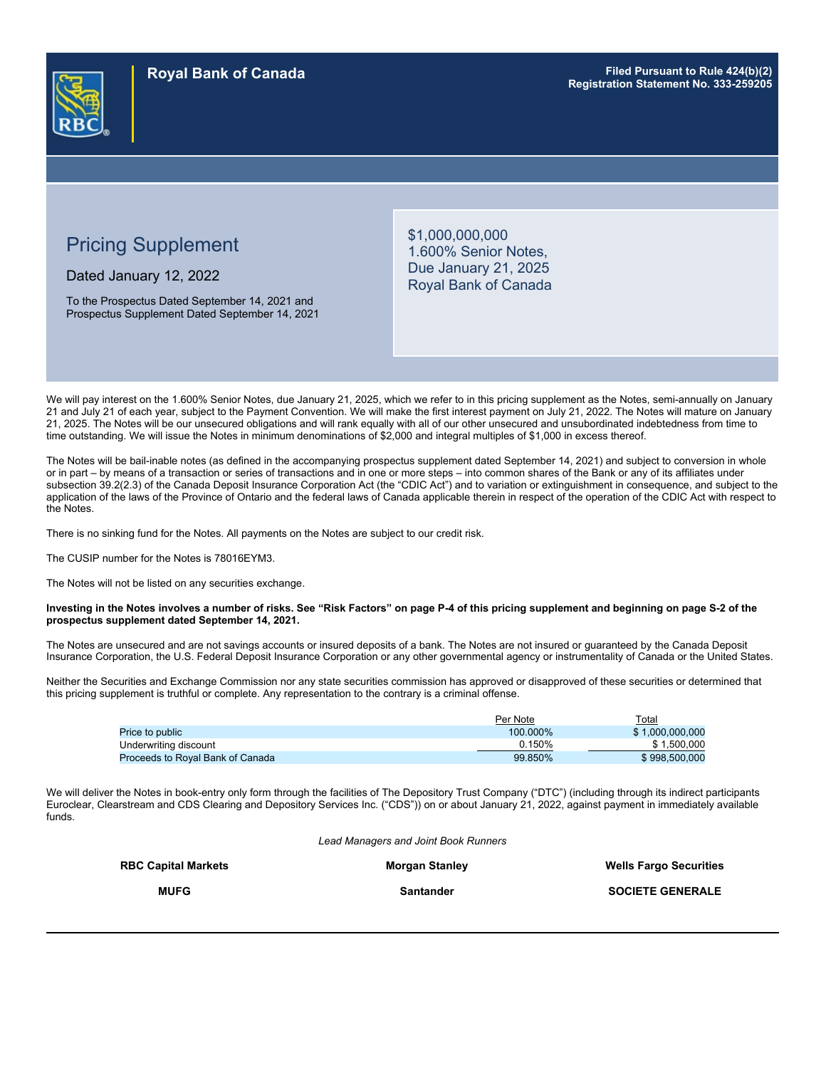

# Pricing Supplement

Dated January 12, 2022

To the Prospectus Dated September 14, 2021 and Prospectus Supplement Dated September 14, 2021 \$1,000,000,000 1.600% Senior Notes, Due January 21, 2025 Royal Bank of Canada

We will pay interest on the 1.600% Senior Notes, due January 21, 2025, which we refer to in this pricing supplement as the Notes, semi-annually on January 21 and July 21 of each year, subject to the Payment Convention. We will make the first interest payment on July 21, 2022. The Notes will mature on January 21, 2025. The Notes will be our unsecured obligations and will rank equally with all of our other unsecured and unsubordinated indebtedness from time to time outstanding. We will issue the Notes in minimum denominations of \$2,000 and integral multiples of \$1,000 in excess thereof.

The Notes will be bail-inable notes (as defined in the accompanying prospectus supplement dated September 14, 2021) and subject to conversion in whole or in part – by means of a transaction or series of transactions and in one or more steps – into common shares of the Bank or any of its affiliates under subsection 39.2(2.3) of the Canada Deposit Insurance Corporation Act (the "CDIC Act") and to variation or extinguishment in consequence, and subject to the application of the laws of the Province of Ontario and the federal laws of Canada applicable therein in respect of the operation of the CDIC Act with respect to the Notes.

There is no sinking fund for the Notes. All payments on the Notes are subject to our credit risk.

The CUSIP number for the Notes is 78016EYM3.

The Notes will not be listed on any securities exchange.

#### **Investing in the Notes involves a number of risks. See "Risk Factors" on page P-4 of this pricing supplement and beginning on page S-2 of the prospectus supplement dated September 14, 2021.**

The Notes are unsecured and are not savings accounts or insured deposits of a bank. The Notes are not insured or guaranteed by the Canada Deposit Insurance Corporation, the U.S. Federal Deposit Insurance Corporation or any other governmental agency or instrumentality of Canada or the United States.

Neither the Securities and Exchange Commission nor any state securities commission has approved or disapproved of these securities or determined that this pricing supplement is truthful or complete. Any representation to the contrary is a criminal offense.

|                                  | Per Note | Total           |
|----------------------------------|----------|-----------------|
| Price to public                  | 100.000% | \$1.000.000.000 |
| Underwriting discount            | 0.150%   | \$1.500.000     |
| Proceeds to Roval Bank of Canada | 99.850%  | \$998,500,000   |

We will deliver the Notes in book-entry only form through the facilities of The Depository Trust Company ("DTC") (including through its indirect participants Euroclear, Clearstream and CDS Clearing and Depository Services Inc. ("CDS")) on or about January 21, 2022, against payment in immediately available funds.

*Lead Managers and Joint Book Runners*

| <b>RBC Capital Markets</b> | <b>Morgan Stanley</b> | <b>Wells Fargo Securities</b> |
|----------------------------|-----------------------|-------------------------------|
| <b>MUFG</b>                | Santander             | <b>SOCIETE GENERALE</b>       |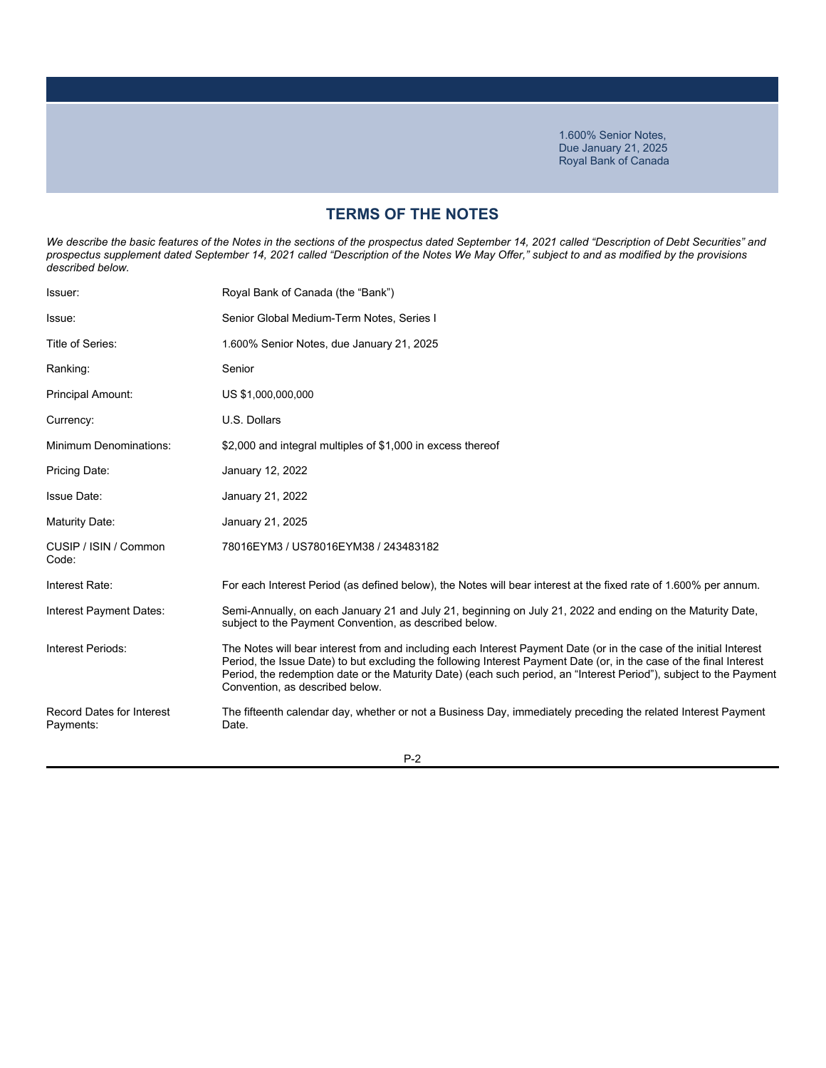# **TERMS OF THE NOTES**

We describe the basic features of the Notes in the sections of the prospectus dated September 14, 2021 called "Description of Debt Securities" and *prospectus supplement dated September 14, 2021 called "Description of the Notes We May Offer," subject to and as modified by the provisions described below.*

| Issuer:                                       | Royal Bank of Canada (the "Bank")                                                                                                                                                                                                                                                                                                                                                                  |
|-----------------------------------------------|----------------------------------------------------------------------------------------------------------------------------------------------------------------------------------------------------------------------------------------------------------------------------------------------------------------------------------------------------------------------------------------------------|
| Issue:                                        | Senior Global Medium-Term Notes, Series I                                                                                                                                                                                                                                                                                                                                                          |
| Title of Series:                              | 1.600% Senior Notes, due January 21, 2025                                                                                                                                                                                                                                                                                                                                                          |
| Ranking:                                      | Senior                                                                                                                                                                                                                                                                                                                                                                                             |
| <b>Principal Amount:</b>                      | US \$1,000,000,000                                                                                                                                                                                                                                                                                                                                                                                 |
| Currency:                                     | U.S. Dollars                                                                                                                                                                                                                                                                                                                                                                                       |
| <b>Minimum Denominations:</b>                 | \$2,000 and integral multiples of \$1,000 in excess thereof                                                                                                                                                                                                                                                                                                                                        |
| Pricing Date:                                 | January 12, 2022                                                                                                                                                                                                                                                                                                                                                                                   |
| <b>Issue Date:</b>                            | January 21, 2022                                                                                                                                                                                                                                                                                                                                                                                   |
| Maturity Date:                                | January 21, 2025                                                                                                                                                                                                                                                                                                                                                                                   |
| CUSIP / ISIN / Common<br>Code:                | 78016EYM3 / US78016EYM38 / 243483182                                                                                                                                                                                                                                                                                                                                                               |
| Interest Rate:                                | For each Interest Period (as defined below), the Notes will bear interest at the fixed rate of 1.600% per annum.                                                                                                                                                                                                                                                                                   |
| Interest Payment Dates:                       | Semi-Annually, on each January 21 and July 21, beginning on July 21, 2022 and ending on the Maturity Date,<br>subject to the Payment Convention, as described below.                                                                                                                                                                                                                               |
| Interest Periods:                             | The Notes will bear interest from and including each Interest Payment Date (or in the case of the initial Interest<br>Period, the Issue Date) to but excluding the following Interest Payment Date (or, in the case of the final Interest<br>Period, the redemption date or the Maturity Date) (each such period, an "Interest Period"), subject to the Payment<br>Convention, as described below. |
| <b>Record Dates for Interest</b><br>Payments: | The fifteenth calendar day, whether or not a Business Day, immediately preceding the related Interest Payment<br>Date.                                                                                                                                                                                                                                                                             |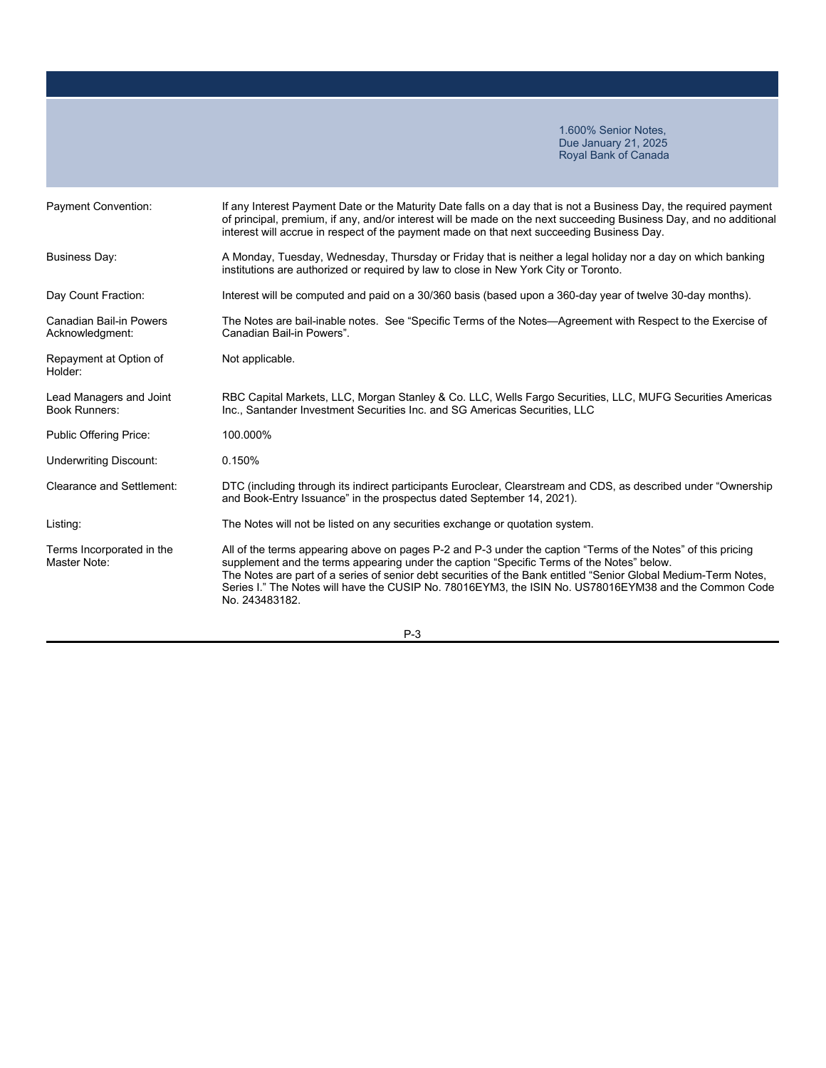| Payment Convention:                             | If any Interest Payment Date or the Maturity Date falls on a day that is not a Business Day, the required payment<br>of principal, premium, if any, and/or interest will be made on the next succeeding Business Day, and no additional<br>interest will accrue in respect of the payment made on that next succeeding Business Day.                                                                                                                    |
|-------------------------------------------------|---------------------------------------------------------------------------------------------------------------------------------------------------------------------------------------------------------------------------------------------------------------------------------------------------------------------------------------------------------------------------------------------------------------------------------------------------------|
| Business Day:                                   | A Monday, Tuesday, Wednesday, Thursday or Friday that is neither a legal holiday nor a day on which banking<br>institutions are authorized or required by law to close in New York City or Toronto.                                                                                                                                                                                                                                                     |
| Day Count Fraction:                             | Interest will be computed and paid on a 30/360 basis (based upon a 360-day year of twelve 30-day months).                                                                                                                                                                                                                                                                                                                                               |
| Canadian Bail-in Powers<br>Acknowledgment:      | The Notes are bail-inable notes. See "Specific Terms of the Notes—Agreement with Respect to the Exercise of<br>Canadian Bail-in Powers".                                                                                                                                                                                                                                                                                                                |
| Repayment at Option of<br>Holder:               | Not applicable.                                                                                                                                                                                                                                                                                                                                                                                                                                         |
| Lead Managers and Joint<br><b>Book Runners:</b> | RBC Capital Markets, LLC, Morgan Stanley & Co. LLC, Wells Fargo Securities, LLC, MUFG Securities Americas<br>Inc., Santander Investment Securities Inc. and SG Americas Securities, LLC                                                                                                                                                                                                                                                                 |
| Public Offering Price:                          | 100.000%                                                                                                                                                                                                                                                                                                                                                                                                                                                |
| <b>Underwriting Discount:</b>                   | 0.150%                                                                                                                                                                                                                                                                                                                                                                                                                                                  |
| <b>Clearance and Settlement:</b>                | DTC (including through its indirect participants Euroclear, Clearstream and CDS, as described under "Ownership<br>and Book-Entry Issuance" in the prospectus dated September 14, 2021).                                                                                                                                                                                                                                                                 |
| Listing:                                        | The Notes will not be listed on any securities exchange or quotation system.                                                                                                                                                                                                                                                                                                                                                                            |
| Terms Incorporated in the<br>Master Note:       | All of the terms appearing above on pages P-2 and P-3 under the caption "Terms of the Notes" of this pricing<br>supplement and the terms appearing under the caption "Specific Terms of the Notes" below.<br>The Notes are part of a series of senior debt securities of the Bank entitled "Senior Global Medium-Term Notes,<br>Series I." The Notes will have the CUSIP No. 78016EYM3, the ISIN No. US78016EYM38 and the Common Code<br>No. 243483182. |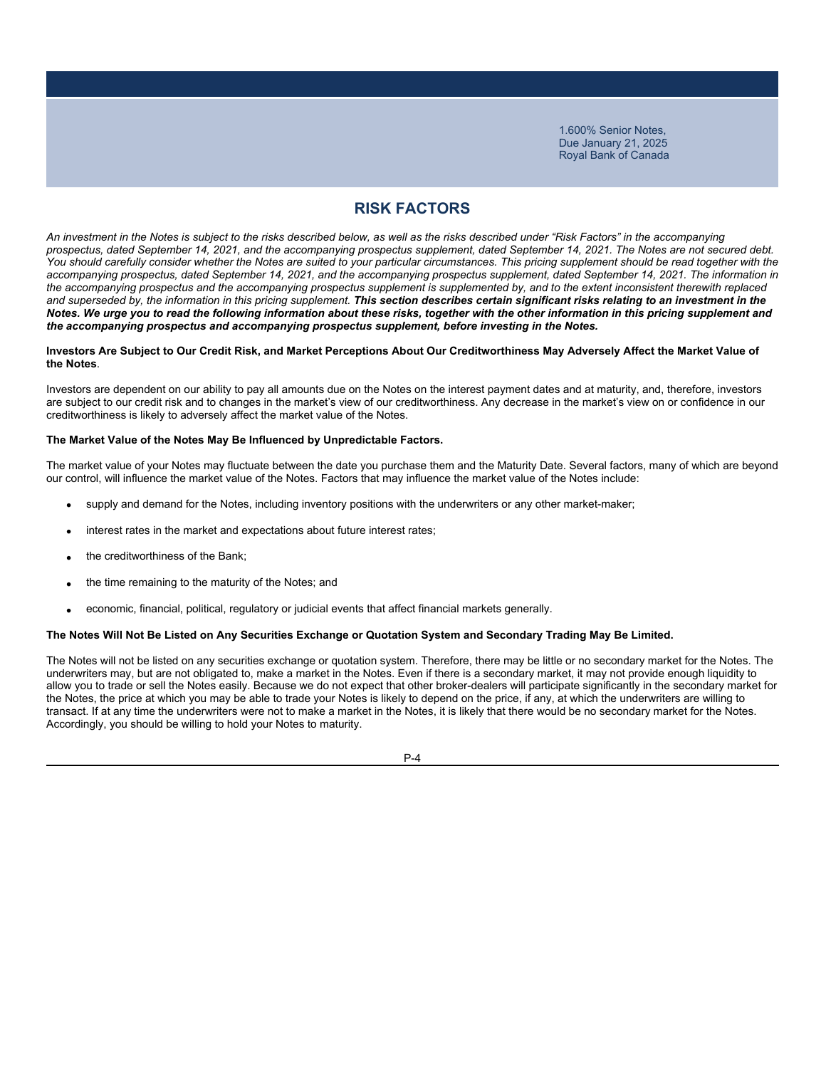# **RISK FACTORS**

*An investment in the Notes is subject to the risks described below, as well as the risks described under "Risk Factors" in the accompanying prospectus, dated September 14, 2021, and the accompanying prospectus supplement, dated September 14, 2021. The Notes are not secured debt.*  You should carefully consider whether the Notes are suited to your particular circumstances. This pricing supplement should be read together with the *accompanying prospectus, dated September 14, 2021, and the accompanying prospectus supplement, dated September 14, 2021. The information in*  the accompanying prospectus and the accompanying prospectus supplement is supplemented by, and to the extent inconsistent therewith replaced and superseded by, the information in this pricing supplement. This section describes certain significant risks relating to an investment in the *Notes. We urge you to read the following information about these risks, together with the other information in this pricing supplement and the accompanying prospectus and accompanying prospectus supplement, before investing in the Notes.*

#### **Investors Are Subject to Our Credit Risk, and Market Perceptions About Our Creditworthiness May Adversely Affect the Market Value of the Notes**.

Investors are dependent on our ability to pay all amounts due on the Notes on the interest payment dates and at maturity, and, therefore, investors are subject to our credit risk and to changes in the market's view of our creditworthiness. Any decrease in the market's view on or confidence in our creditworthiness is likely to adversely affect the market value of the Notes.

### **The Market Value of the Notes May Be Influenced by Unpredictable Factors.**

The market value of your Notes may fluctuate between the date you purchase them and the Maturity Date. Several factors, many of which are beyond our control, will influence the market value of the Notes. Factors that may influence the market value of the Notes include:

- supply and demand for the Notes, including inventory positions with the underwriters or any other market-maker;
- interest rates in the market and expectations about future interest rates;
- the creditworthiness of the Bank;
- the time remaining to the maturity of the Notes; and
- economic, financial, political, regulatory or judicial events that affect financial markets generally.

#### **The Notes Will Not Be Listed on Any Securities Exchange or Quotation System and Secondary Trading May Be Limited.**

The Notes will not be listed on any securities exchange or quotation system. Therefore, there may be little or no secondary market for the Notes. The underwriters may, but are not obligated to, make a market in the Notes. Even if there is a secondary market, it may not provide enough liquidity to allow you to trade or sell the Notes easily. Because we do not expect that other broker-dealers will participate significantly in the secondary market for the Notes, the price at which you may be able to trade your Notes is likely to depend on the price, if any, at which the underwriters are willing to transact. If at any time the underwriters were not to make a market in the Notes, it is likely that there would be no secondary market for the Notes. Accordingly, you should be willing to hold your Notes to maturity.

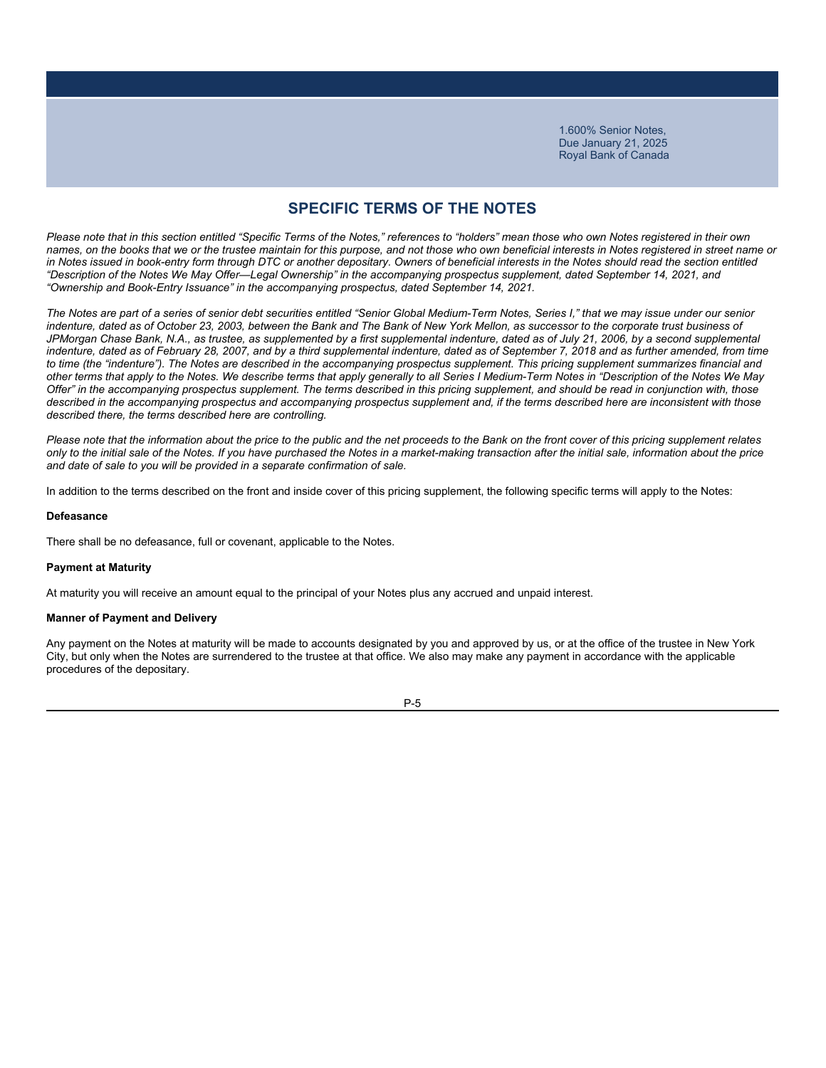### **SPECIFIC TERMS OF THE NOTES**

*Please note that in this section entitled "Specific Terms of the Notes," references to "holders" mean those who own Notes registered in their own names, on the books that we or the trustee maintain for this purpose, and not those who own beneficial interests in Notes registered in street name or*  in Notes issued in book-entry form through DTC or another depositary. Owners of beneficial interests in the Notes should read the section entitled *"Description of the Notes We May Offer—Legal Ownership" in the accompanying prospectus supplement, dated September 14, 2021, and "Ownership and Book-Entry Issuance" in the accompanying prospectus, dated September 14, 2021.*

*The Notes are part of a series of senior debt securities entitled "Senior Global Medium-Term Notes, Series I," that we may issue under our senior indenture, dated as of October 23, 2003, between the Bank and The Bank of New York Mellon, as successor to the corporate trust business of*  JPMorgan Chase Bank, N.A., as trustee, as supplemented by a first supplemental indenture, dated as of July 21, 2006, by a second supplemental *indenture, dated as of February 28, 2007, and by a third supplemental indenture, dated as of September 7, 2018 and as further amended, from time to time (the "indenture"). The Notes are described in the accompanying prospectus supplement. This pricing supplement summarizes financial and other terms that apply to the Notes. We describe terms that apply generally to all Series I Medium-Term Notes in "Description of the Notes We May Offer" in the accompanying prospectus supplement. The terms described in this pricing supplement, and should be read in conjunction with, those*  described in the accompanying prospectus and accompanying prospectus supplement and, if the terms described here are inconsistent with those *described there, the terms described here are controlling.*

*Please note that the information about the price to the public and the net proceeds to the Bank on the front cover of this pricing supplement relates only to the initial sale of the Notes. If you have purchased the Notes in a market-making transaction after the initial sale, information about the price and date of sale to you will be provided in a separate confirmation of sale.*

In addition to the terms described on the front and inside cover of this pricing supplement, the following specific terms will apply to the Notes:

#### **Defeasance**

There shall be no defeasance, full or covenant, applicable to the Notes.

#### **Payment at Maturity**

At maturity you will receive an amount equal to the principal of your Notes plus any accrued and unpaid interest.

#### **Manner of Payment and Delivery**

Any payment on the Notes at maturity will be made to accounts designated by you and approved by us, or at the office of the trustee in New York City, but only when the Notes are surrendered to the trustee at that office. We also may make any payment in accordance with the applicable procedures of the depositary.

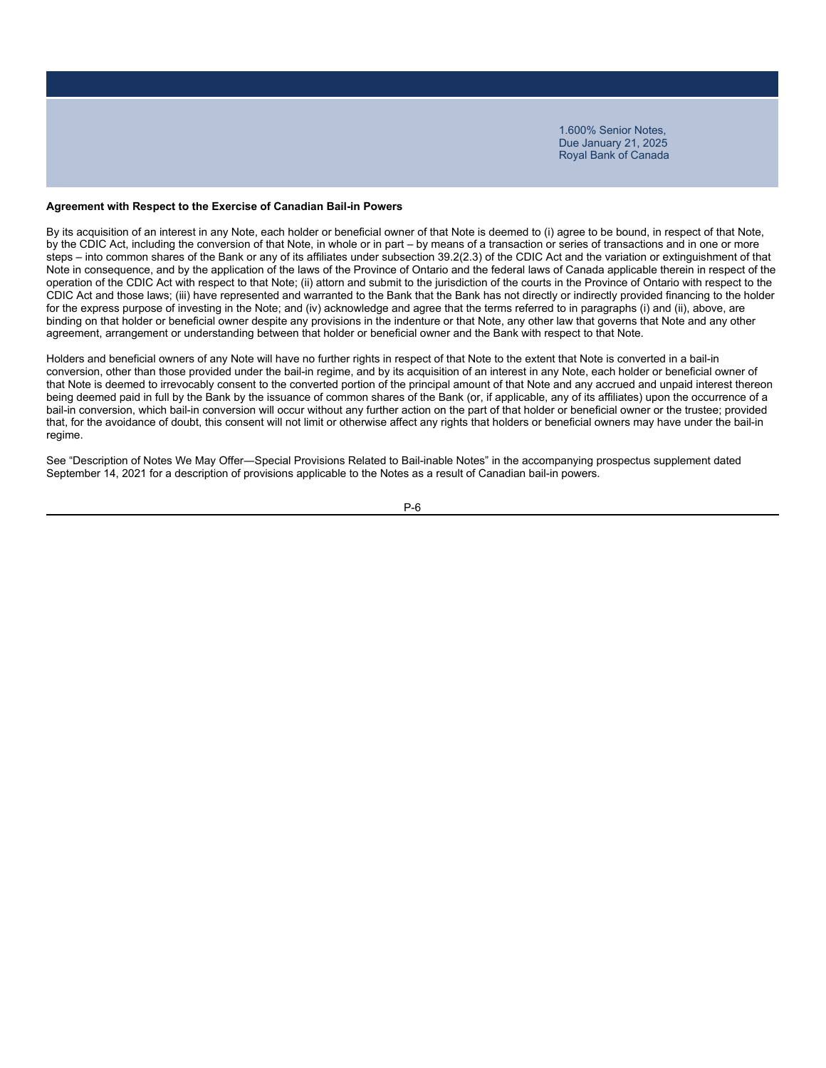### **Agreement with Respect to the Exercise of Canadian Bail-in Powers**

By its acquisition of an interest in any Note, each holder or beneficial owner of that Note is deemed to (i) agree to be bound, in respect of that Note, by the CDIC Act, including the conversion of that Note, in whole or in part – by means of a transaction or series of transactions and in one or more steps – into common shares of the Bank or any of its affiliates under subsection 39.2(2.3) of the CDIC Act and the variation or extinguishment of that Note in consequence, and by the application of the laws of the Province of Ontario and the federal laws of Canada applicable therein in respect of the operation of the CDIC Act with respect to that Note; (ii) attorn and submit to the jurisdiction of the courts in the Province of Ontario with respect to the CDIC Act and those laws; (iii) have represented and warranted to the Bank that the Bank has not directly or indirectly provided financing to the holder for the express purpose of investing in the Note; and (iv) acknowledge and agree that the terms referred to in paragraphs (i) and (ii), above, are binding on that holder or beneficial owner despite any provisions in the indenture or that Note, any other law that governs that Note and any other agreement, arrangement or understanding between that holder or beneficial owner and the Bank with respect to that Note.

Holders and beneficial owners of any Note will have no further rights in respect of that Note to the extent that Note is converted in a bail-in conversion, other than those provided under the bail-in regime, and by its acquisition of an interest in any Note, each holder or beneficial owner of that Note is deemed to irrevocably consent to the converted portion of the principal amount of that Note and any accrued and unpaid interest thereon being deemed paid in full by the Bank by the issuance of common shares of the Bank (or, if applicable, any of its affiliates) upon the occurrence of a bail-in conversion, which bail-in conversion will occur without any further action on the part of that holder or beneficial owner or the trustee; provided that, for the avoidance of doubt, this consent will not limit or otherwise affect any rights that holders or beneficial owners may have under the bail-in regime.

See "Description of Notes We May Offer―Special Provisions Related to Bail-inable Notes" in the accompanying prospectus supplement dated September 14, 2021 for a description of provisions applicable to the Notes as a result of Canadian bail-in powers.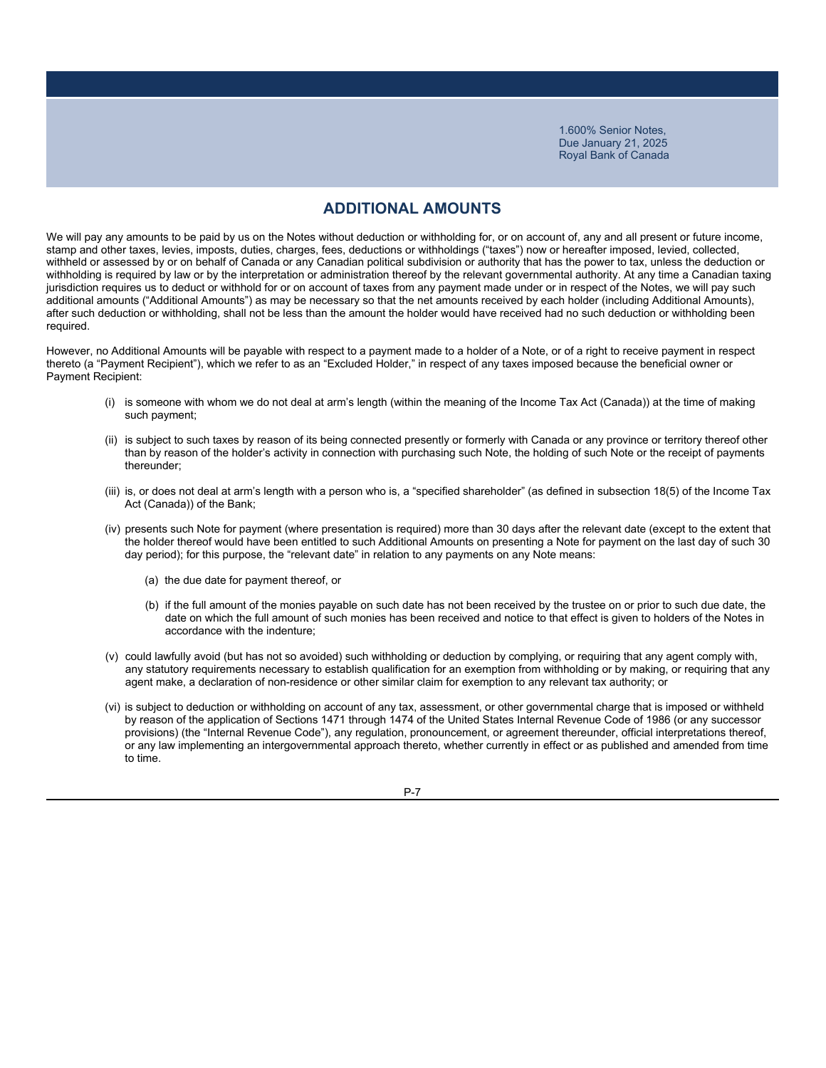### **ADDITIONAL AMOUNTS**

We will pay any amounts to be paid by us on the Notes without deduction or withholding for, or on account of, any and all present or future income, stamp and other taxes, levies, imposts, duties, charges, fees, deductions or withholdings ("taxes") now or hereafter imposed, levied, collected, withheld or assessed by or on behalf of Canada or any Canadian political subdivision or authority that has the power to tax, unless the deduction or withholding is required by law or by the interpretation or administration thereof by the relevant governmental authority. At any time a Canadian taxing jurisdiction requires us to deduct or withhold for or on account of taxes from any payment made under or in respect of the Notes, we will pay such additional amounts ("Additional Amounts") as may be necessary so that the net amounts received by each holder (including Additional Amounts), after such deduction or withholding, shall not be less than the amount the holder would have received had no such deduction or withholding been required.

However, no Additional Amounts will be payable with respect to a payment made to a holder of a Note, or of a right to receive payment in respect thereto (a "Payment Recipient"), which we refer to as an "Excluded Holder," in respect of any taxes imposed because the beneficial owner or Payment Recipient:

- (i) is someone with whom we do not deal at arm's length (within the meaning of the Income Tax Act (Canada)) at the time of making such payment;
- (ii) is subject to such taxes by reason of its being connected presently or formerly with Canada or any province or territory thereof other than by reason of the holder's activity in connection with purchasing such Note, the holding of such Note or the receipt of payments thereunder;
- (iii) is, or does not deal at arm's length with a person who is, a "specified shareholder" (as defined in subsection 18(5) of the Income Tax Act (Canada)) of the Bank;
- (iv) presents such Note for payment (where presentation is required) more than 30 days after the relevant date (except to the extent that the holder thereof would have been entitled to such Additional Amounts on presenting a Note for payment on the last day of such 30 day period); for this purpose, the "relevant date" in relation to any payments on any Note means:
	- (a) the due date for payment thereof, or
	- (b) if the full amount of the monies payable on such date has not been received by the trustee on or prior to such due date, the date on which the full amount of such monies has been received and notice to that effect is given to holders of the Notes in accordance with the indenture;
- (v) could lawfully avoid (but has not so avoided) such withholding or deduction by complying, or requiring that any agent comply with, any statutory requirements necessary to establish qualification for an exemption from withholding or by making, or requiring that any agent make, a declaration of non-residence or other similar claim for exemption to any relevant tax authority; or
- (vi) is subject to deduction or withholding on account of any tax, assessment, or other governmental charge that is imposed or withheld by reason of the application of Sections 1471 through 1474 of the United States Internal Revenue Code of 1986 (or any successor provisions) (the "Internal Revenue Code"), any regulation, pronouncement, or agreement thereunder, official interpretations thereof, or any law implementing an intergovernmental approach thereto, whether currently in effect or as published and amended from time to time.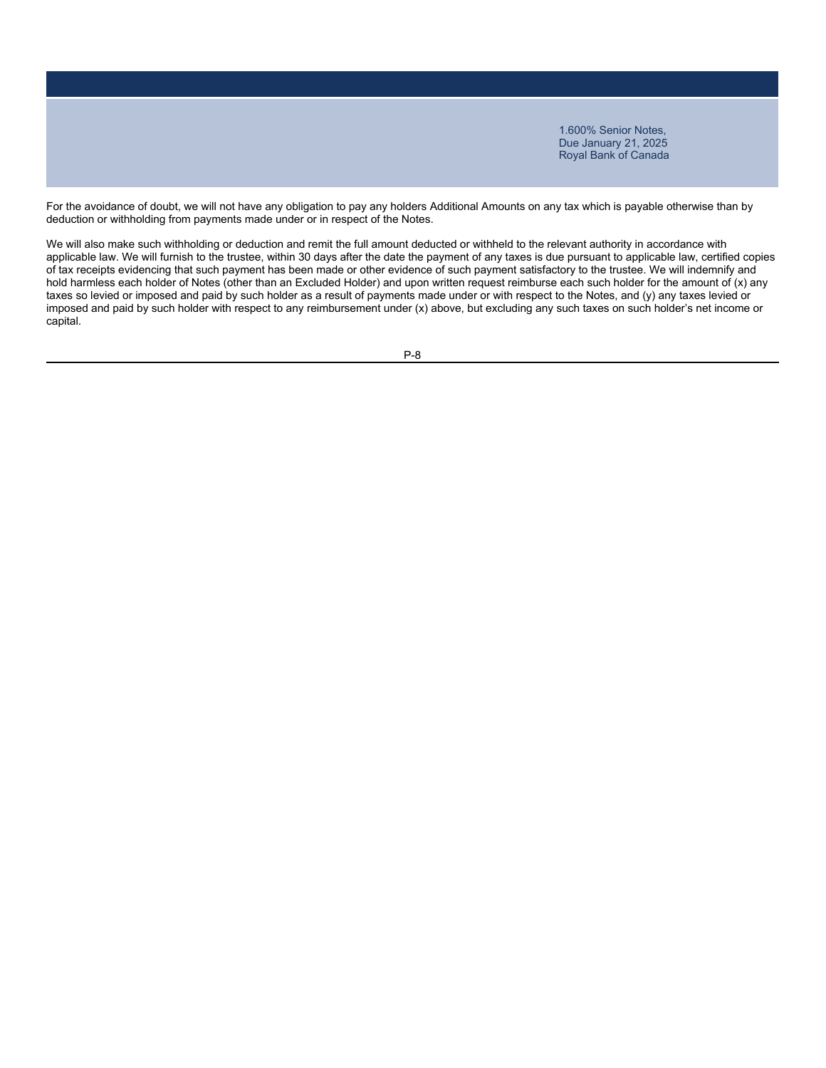For the avoidance of doubt, we will not have any obligation to pay any holders Additional Amounts on any tax which is payable otherwise than by deduction or withholding from payments made under or in respect of the Notes.

We will also make such withholding or deduction and remit the full amount deducted or withheld to the relevant authority in accordance with applicable law. We will furnish to the trustee, within 30 days after the date the payment of any taxes is due pursuant to applicable law, certified copies of tax receipts evidencing that such payment has been made or other evidence of such payment satisfactory to the trustee. We will indemnify and hold harmless each holder of Notes (other than an Excluded Holder) and upon written request reimburse each such holder for the amount of (x) any taxes so levied or imposed and paid by such holder as a result of payments made under or with respect to the Notes, and (y) any taxes levied or imposed and paid by such holder with respect to any reimbursement under (x) above, but excluding any such taxes on such holder's net income or capital.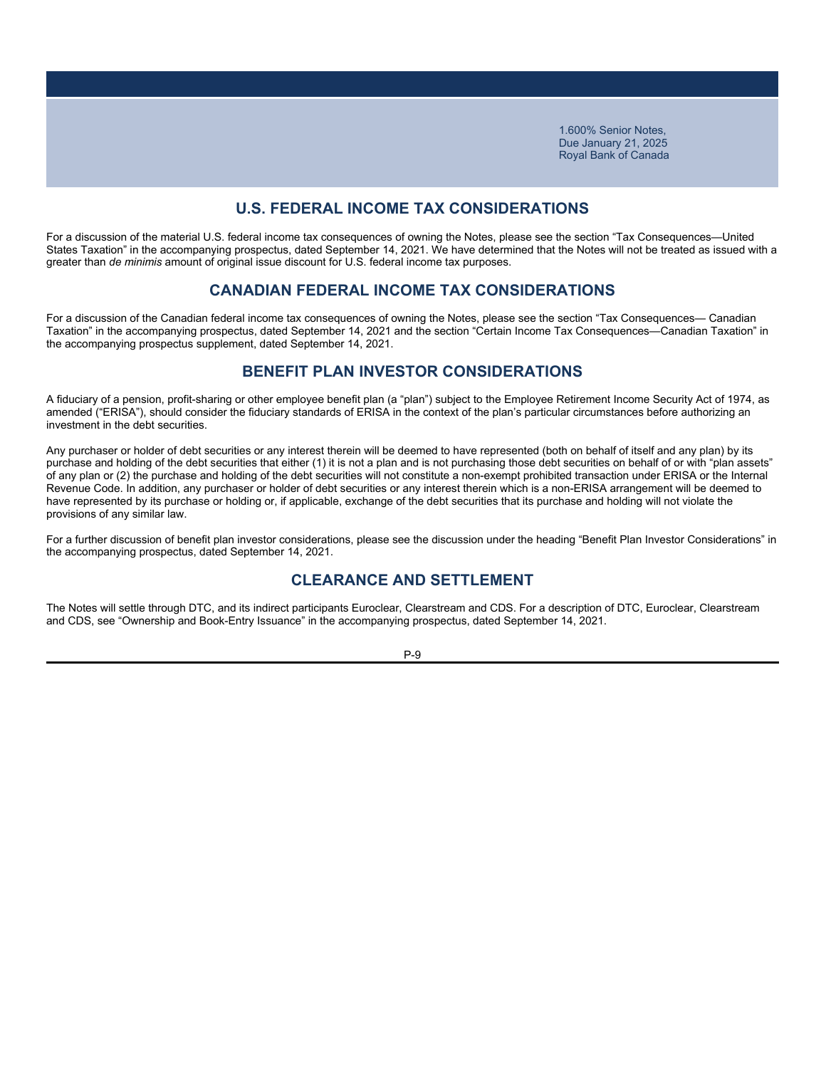### **U.S. FEDERAL INCOME TAX CONSIDERATIONS**

For a discussion of the material U.S. federal income tax consequences of owning the Notes, please see the section "Tax Consequences—United States Taxation" in the accompanying prospectus, dated September 14, 2021. We have determined that the Notes will not be treated as issued with a greater than *de minimis* amount of original issue discount for U.S. federal income tax purposes.

### **CANADIAN FEDERAL INCOME TAX CONSIDERATIONS**

For a discussion of the Canadian federal income tax consequences of owning the Notes, please see the section "Tax Consequences— Canadian Taxation" in the accompanying prospectus, dated September 14, 2021 and the section "Certain Income Tax Consequences—Canadian Taxation" in the accompanying prospectus supplement, dated September 14, 2021.

### **BENEFIT PLAN INVESTOR CONSIDERATIONS**

A fiduciary of a pension, profit-sharing or other employee benefit plan (a "plan") subject to the Employee Retirement Income Security Act of 1974, as amended ("ERISA"), should consider the fiduciary standards of ERISA in the context of the plan's particular circumstances before authorizing an investment in the debt securities.

Any purchaser or holder of debt securities or any interest therein will be deemed to have represented (both on behalf of itself and any plan) by its purchase and holding of the debt securities that either (1) it is not a plan and is not purchasing those debt securities on behalf of or with "plan assets" of any plan or (2) the purchase and holding of the debt securities will not constitute a non-exempt prohibited transaction under ERISA or the Internal Revenue Code. In addition, any purchaser or holder of debt securities or any interest therein which is a non-ERISA arrangement will be deemed to have represented by its purchase or holding or, if applicable, exchange of the debt securities that its purchase and holding will not violate the provisions of any similar law.

For a further discussion of benefit plan investor considerations, please see the discussion under the heading "Benefit Plan Investor Considerations" in the accompanying prospectus, dated September 14, 2021.

### **CLEARANCE AND SETTLEMENT**

The Notes will settle through DTC, and its indirect participants Euroclear, Clearstream and CDS. For a description of DTC, Euroclear, Clearstream and CDS, see "Ownership and Book-Entry Issuance" in the accompanying prospectus, dated September 14, 2021.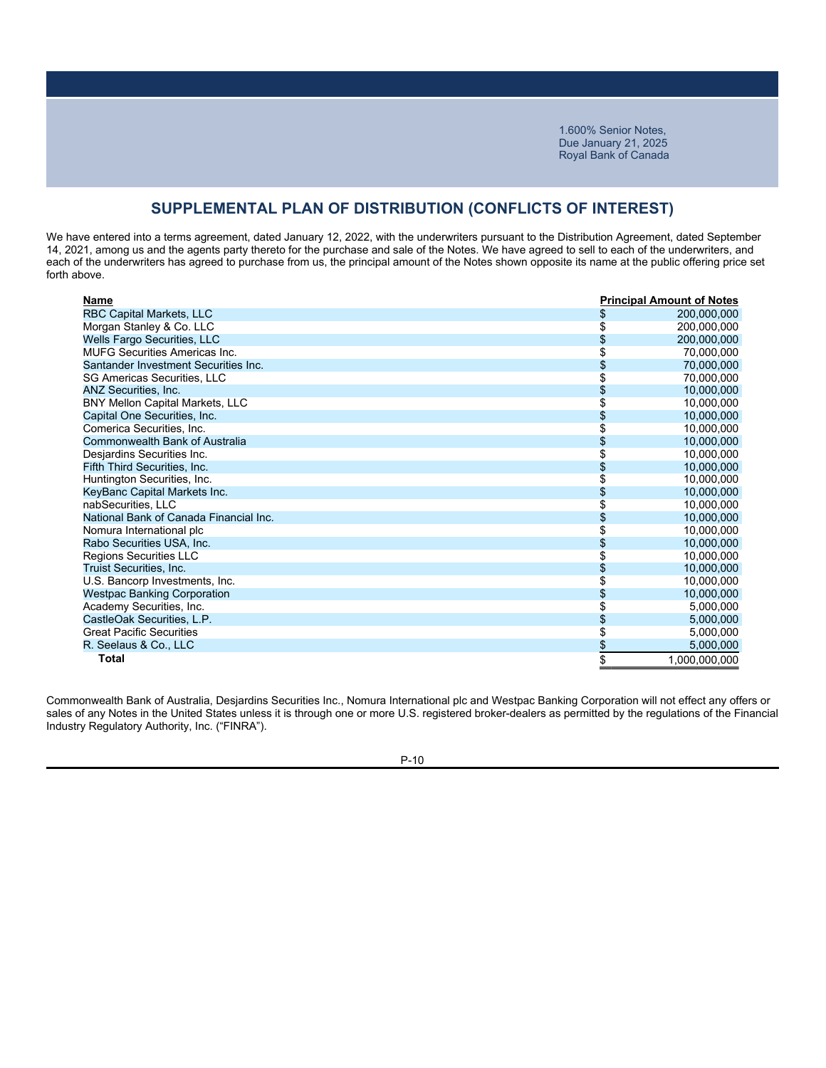# **SUPPLEMENTAL PLAN OF DISTRIBUTION (CONFLICTS OF INTEREST)**

We have entered into a terms agreement, dated January 12, 2022, with the underwriters pursuant to the Distribution Agreement, dated September 14, 2021, among us and the agents party thereto for the purchase and sale of the Notes. We have agreed to sell to each of the underwriters, and each of the underwriters has agreed to purchase from us, the principal amount of the Notes shown opposite its name at the public offering price set forth above.

| Name                                   | <b>Principal Amount of Notes</b> |
|----------------------------------------|----------------------------------|
| <b>RBC Capital Markets, LLC</b>        | 200,000,000                      |
| Morgan Stanley & Co. LLC               | 200,000,000                      |
| Wells Fargo Securities, LLC            | 200,000,000                      |
| <b>MUFG Securities Americas Inc.</b>   | 70,000,000                       |
| Santander Investment Securities Inc.   | 70,000,000                       |
| <b>SG Americas Securities, LLC</b>     | 70,000,000                       |
| <b>ANZ Securities, Inc.</b>            | 10,000,000                       |
| <b>BNY Mellon Capital Markets, LLC</b> | 10,000,000                       |
| Capital One Securities, Inc.           | 10,000,000                       |
| Comerica Securities, Inc.              | 10,000,000                       |
| Commonwealth Bank of Australia         | 10,000,000                       |
| Desjardins Securities Inc.             | 10,000,000                       |
| Fifth Third Securities, Inc.           | 10,000,000                       |
| Huntington Securities, Inc.            | 10,000,000                       |
| KeyBanc Capital Markets Inc.           | 10,000,000                       |
| nabSecurities. LLC                     | 10,000,000                       |
| National Bank of Canada Financial Inc. | 10,000,000                       |
| Nomura International plc               | 10,000,000                       |
| Rabo Securities USA, Inc.              | 10,000,000                       |
| Regions Securities LLC                 | 10,000,000                       |
| <b>Truist Securities, Inc.</b>         | 10,000,000                       |
| U.S. Bancorp Investments, Inc.         | 10,000,000                       |
| <b>Westpac Banking Corporation</b>     | 10,000,000                       |
| Academy Securities, Inc.               | 5,000,000                        |
| CastleOak Securities, L.P.             | 5,000,000                        |
| <b>Great Pacific Securities</b>        | 5,000,000                        |
| R. Seelaus & Co., LLC                  | \$<br>5,000,000                  |
| <b>Total</b>                           | \$<br>1.000.000.000              |

Commonwealth Bank of Australia, Desjardins Securities Inc., Nomura International plc and Westpac Banking Corporation will not effect any offers or sales of any Notes in the United States unless it is through one or more U.S. registered broker-dealers as permitted by the regulations of the Financial Industry Regulatory Authority, Inc. ("FINRA").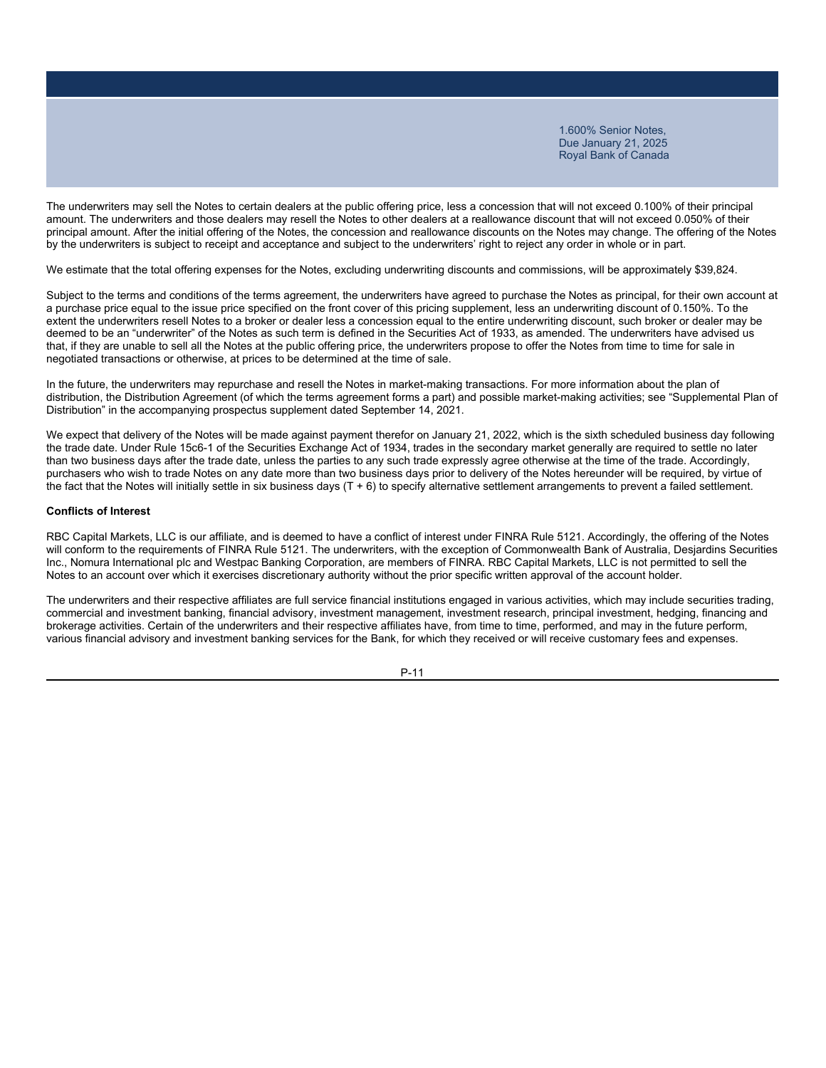The underwriters may sell the Notes to certain dealers at the public offering price, less a concession that will not exceed 0.100% of their principal amount. The underwriters and those dealers may resell the Notes to other dealers at a reallowance discount that will not exceed 0.050% of their principal amount. After the initial offering of the Notes, the concession and reallowance discounts on the Notes may change. The offering of the Notes by the underwriters is subject to receipt and acceptance and subject to the underwriters' right to reject any order in whole or in part.

We estimate that the total offering expenses for the Notes, excluding underwriting discounts and commissions, will be approximately \$39,824.

Subject to the terms and conditions of the terms agreement, the underwriters have agreed to purchase the Notes as principal, for their own account at a purchase price equal to the issue price specified on the front cover of this pricing supplement, less an underwriting discount of 0.150%. To the extent the underwriters resell Notes to a broker or dealer less a concession equal to the entire underwriting discount, such broker or dealer may be deemed to be an "underwriter" of the Notes as such term is defined in the Securities Act of 1933, as amended. The underwriters have advised us that, if they are unable to sell all the Notes at the public offering price, the underwriters propose to offer the Notes from time to time for sale in negotiated transactions or otherwise, at prices to be determined at the time of sale.

In the future, the underwriters may repurchase and resell the Notes in market-making transactions. For more information about the plan of distribution, the Distribution Agreement (of which the terms agreement forms a part) and possible market-making activities; see "Supplemental Plan of Distribution" in the accompanying prospectus supplement dated September 14, 2021.

We expect that delivery of the Notes will be made against payment therefor on January 21, 2022, which is the sixth scheduled business day following the trade date. Under Rule 15c6-1 of the Securities Exchange Act of 1934, trades in the secondary market generally are required to settle no later than two business days after the trade date, unless the parties to any such trade expressly agree otherwise at the time of the trade. Accordingly, purchasers who wish to trade Notes on any date more than two business days prior to delivery of the Notes hereunder will be required, by virtue of the fact that the Notes will initially settle in six business days (T + 6) to specify alternative settlement arrangements to prevent a failed settlement.

### **Conflicts of Interest**

RBC Capital Markets, LLC is our affiliate, and is deemed to have a conflict of interest under FINRA Rule 5121. Accordingly, the offering of the Notes will conform to the requirements of FINRA Rule 5121. The underwriters, with the exception of Commonwealth Bank of Australia, Desjardins Securities Inc., Nomura International plc and Westpac Banking Corporation, are members of FINRA. RBC Capital Markets, LLC is not permitted to sell the Notes to an account over which it exercises discretionary authority without the prior specific written approval of the account holder.

The underwriters and their respective affiliates are full service financial institutions engaged in various activities, which may include securities trading, commercial and investment banking, financial advisory, investment management, investment research, principal investment, hedging, financing and brokerage activities. Certain of the underwriters and their respective affiliates have, from time to time, performed, and may in the future perform, various financial advisory and investment banking services for the Bank, for which they received or will receive customary fees and expenses.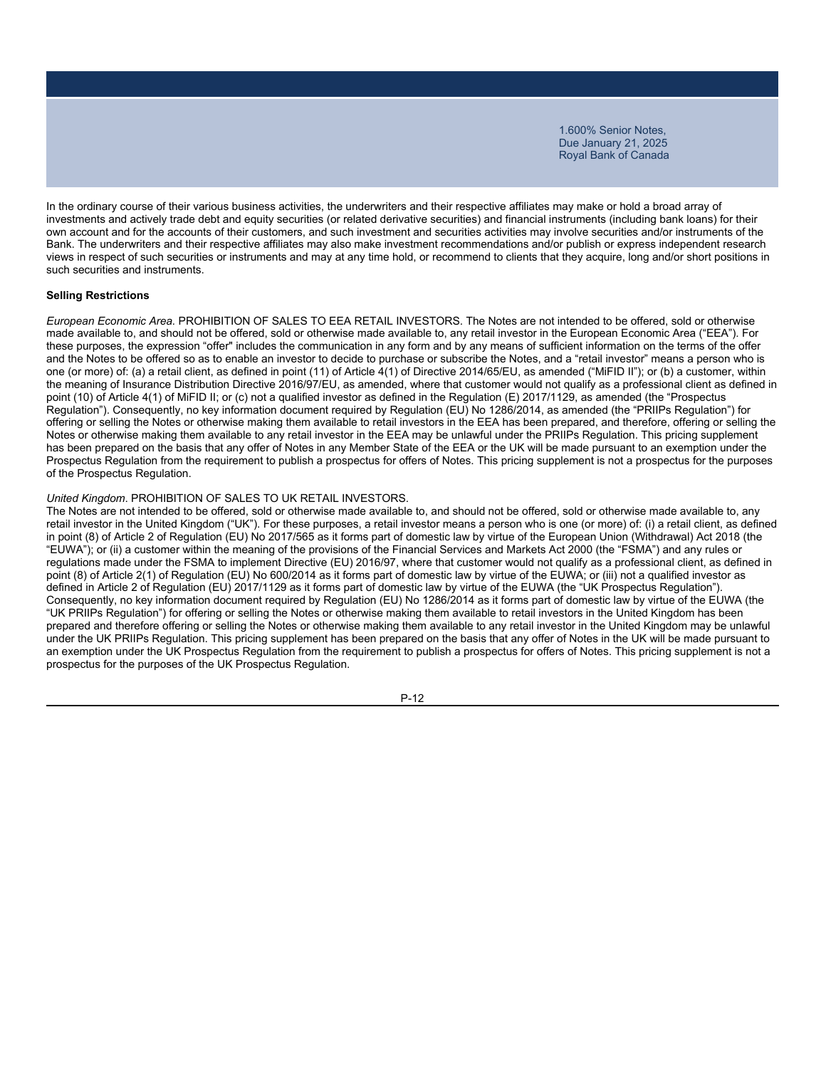In the ordinary course of their various business activities, the underwriters and their respective affiliates may make or hold a broad array of investments and actively trade debt and equity securities (or related derivative securities) and financial instruments (including bank loans) for their own account and for the accounts of their customers, and such investment and securities activities may involve securities and/or instruments of the Bank. The underwriters and their respective affiliates may also make investment recommendations and/or publish or express independent research views in respect of such securities or instruments and may at any time hold, or recommend to clients that they acquire, long and/or short positions in such securities and instruments.

### **Selling Restrictions**

*European Economic Area.* PROHIBITION OF SALES TO EEA RETAIL INVESTORS. The Notes are not intended to be offered, sold or otherwise made available to, and should not be offered, sold or otherwise made available to, any retail investor in the European Economic Area ("EEA"). For these purposes, the expression "offer" includes the communication in any form and by any means of sufficient information on the terms of the offer and the Notes to be offered so as to enable an investor to decide to purchase or subscribe the Notes, and a "retail investor" means a person who is one (or more) of: (a) a retail client, as defined in point (11) of Article 4(1) of Directive 2014/65/EU, as amended ("MiFID II"); or (b) a customer, within the meaning of Insurance Distribution Directive 2016/97/EU, as amended, where that customer would not qualify as a professional client as defined in point (10) of Article 4(1) of MiFID II; or (c) not a qualified investor as defined in the Regulation (E) 2017/1129, as amended (the "Prospectus Regulation"). Consequently, no key information document required by Regulation (EU) No 1286/2014, as amended (the "PRIIPs Regulation") for offering or selling the Notes or otherwise making them available to retail investors in the EEA has been prepared, and therefore, offering or selling the Notes or otherwise making them available to any retail investor in the EEA may be unlawful under the PRIIPs Regulation. This pricing supplement has been prepared on the basis that any offer of Notes in any Member State of the EEA or the UK will be made pursuant to an exemption under the Prospectus Regulation from the requirement to publish a prospectus for offers of Notes. This pricing supplement is not a prospectus for the purposes of the Prospectus Regulation.

### *United Kingdom*. PROHIBITION OF SALES TO UK RETAIL INVESTORS.

The Notes are not intended to be offered, sold or otherwise made available to, and should not be offered, sold or otherwise made available to, any retail investor in the United Kingdom ("UK"). For these purposes, a retail investor means a person who is one (or more) of: (i) a retail client, as defined in point (8) of Article 2 of Regulation (EU) No 2017/565 as it forms part of domestic law by virtue of the European Union (Withdrawal) Act 2018 (the "EUWA"); or (ii) a customer within the meaning of the provisions of the Financial Services and Markets Act 2000 (the "FSMA") and any rules or regulations made under the FSMA to implement Directive (EU) 2016/97, where that customer would not qualify as a professional client, as defined in point (8) of Article 2(1) of Regulation (EU) No 600/2014 as it forms part of domestic law by virtue of the EUWA; or (iii) not a qualified investor as defined in Article 2 of Regulation (EU) 2017/1129 as it forms part of domestic law by virtue of the EUWA (the "UK Prospectus Regulation"). Consequently, no key information document required by Regulation (EU) No 1286/2014 as it forms part of domestic law by virtue of the EUWA (the "UK PRIIPs Regulation") for offering or selling the Notes or otherwise making them available to retail investors in the United Kingdom has been prepared and therefore offering or selling the Notes or otherwise making them available to any retail investor in the United Kingdom may be unlawful under the UK PRIIPs Regulation. This pricing supplement has been prepared on the basis that any offer of Notes in the UK will be made pursuant to an exemption under the UK Prospectus Regulation from the requirement to publish a prospectus for offers of Notes. This pricing supplement is not a prospectus for the purposes of the UK Prospectus Regulation.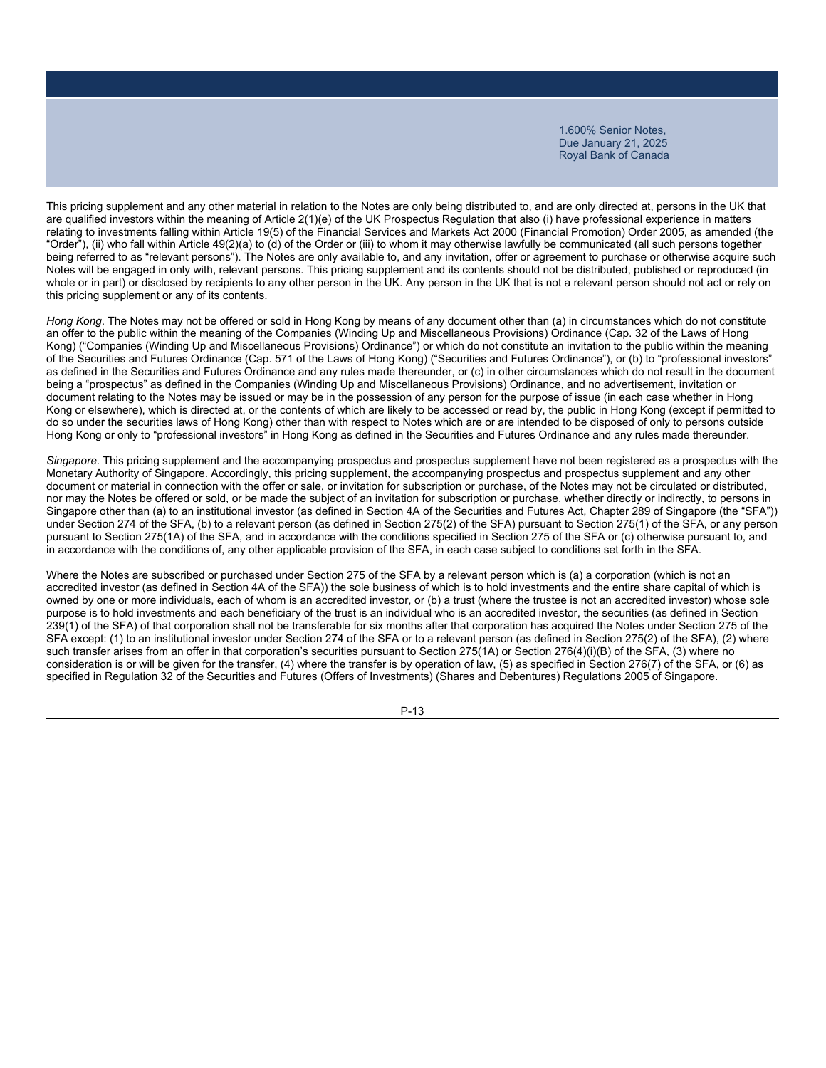This pricing supplement and any other material in relation to the Notes are only being distributed to, and are only directed at, persons in the UK that are qualified investors within the meaning of Article 2(1)(e) of the UK Prospectus Regulation that also (i) have professional experience in matters relating to investments falling within Article 19(5) of the Financial Services and Markets Act 2000 (Financial Promotion) Order 2005, as amended (the "Order"), (ii) who fall within Article 49(2)(a) to (d) of the Order or (iii) to whom it may otherwise lawfully be communicated (all such persons together being referred to as "relevant persons"). The Notes are only available to, and any invitation, offer or agreement to purchase or otherwise acquire such Notes will be engaged in only with, relevant persons. This pricing supplement and its contents should not be distributed, published or reproduced (in whole or in part) or disclosed by recipients to any other person in the UK. Any person in the UK that is not a relevant person should not act or rely on this pricing supplement or any of its contents.

*Hong Kong*. The Notes may not be offered or sold in Hong Kong by means of any document other than (a) in circumstances which do not constitute an offer to the public within the meaning of the Companies (Winding Up and Miscellaneous Provisions) Ordinance (Cap. 32 of the Laws of Hong Kong) ("Companies (Winding Up and Miscellaneous Provisions) Ordinance") or which do not constitute an invitation to the public within the meaning of the Securities and Futures Ordinance (Cap. 571 of the Laws of Hong Kong) ("Securities and Futures Ordinance"), or (b) to "professional investors" as defined in the Securities and Futures Ordinance and any rules made thereunder, or (c) in other circumstances which do not result in the document being a "prospectus" as defined in the Companies (Winding Up and Miscellaneous Provisions) Ordinance, and no advertisement, invitation or document relating to the Notes may be issued or may be in the possession of any person for the purpose of issue (in each case whether in Hong Kong or elsewhere), which is directed at, or the contents of which are likely to be accessed or read by, the public in Hong Kong (except if permitted to do so under the securities laws of Hong Kong) other than with respect to Notes which are or are intended to be disposed of only to persons outside Hong Kong or only to "professional investors" in Hong Kong as defined in the Securities and Futures Ordinance and any rules made thereunder.

*Singapore*. This pricing supplement and the accompanying prospectus and prospectus supplement have not been registered as a prospectus with the Monetary Authority of Singapore. Accordingly, this pricing supplement, the accompanying prospectus and prospectus supplement and any other document or material in connection with the offer or sale, or invitation for subscription or purchase, of the Notes may not be circulated or distributed, nor may the Notes be offered or sold, or be made the subject of an invitation for subscription or purchase, whether directly or indirectly, to persons in Singapore other than (a) to an institutional investor (as defined in Section 4A of the Securities and Futures Act, Chapter 289 of Singapore (the "SFA")) under Section 274 of the SFA, (b) to a relevant person (as defined in Section 275(2) of the SFA) pursuant to Section 275(1) of the SFA, or any person pursuant to Section 275(1A) of the SFA, and in accordance with the conditions specified in Section 275 of the SFA or (c) otherwise pursuant to, and in accordance with the conditions of, any other applicable provision of the SFA, in each case subject to conditions set forth in the SFA.

Where the Notes are subscribed or purchased under Section 275 of the SFA by a relevant person which is (a) a corporation (which is not an accredited investor (as defined in Section 4A of the SFA)) the sole business of which is to hold investments and the entire share capital of which is owned by one or more individuals, each of whom is an accredited investor, or (b) a trust (where the trustee is not an accredited investor) whose sole purpose is to hold investments and each beneficiary of the trust is an individual who is an accredited investor, the securities (as defined in Section 239(1) of the SFA) of that corporation shall not be transferable for six months after that corporation has acquired the Notes under Section 275 of the SFA except: (1) to an institutional investor under Section 274 of the SFA or to a relevant person (as defined in Section 275(2) of the SFA), (2) where such transfer arises from an offer in that corporation's securities pursuant to Section 275(1A) or Section 276(4)(i)(B) of the SFA, (3) where no consideration is or will be given for the transfer, (4) where the transfer is by operation of law, (5) as specified in Section 276(7) of the SFA, or (6) as specified in Regulation 32 of the Securities and Futures (Offers of Investments) (Shares and Debentures) Regulations 2005 of Singapore.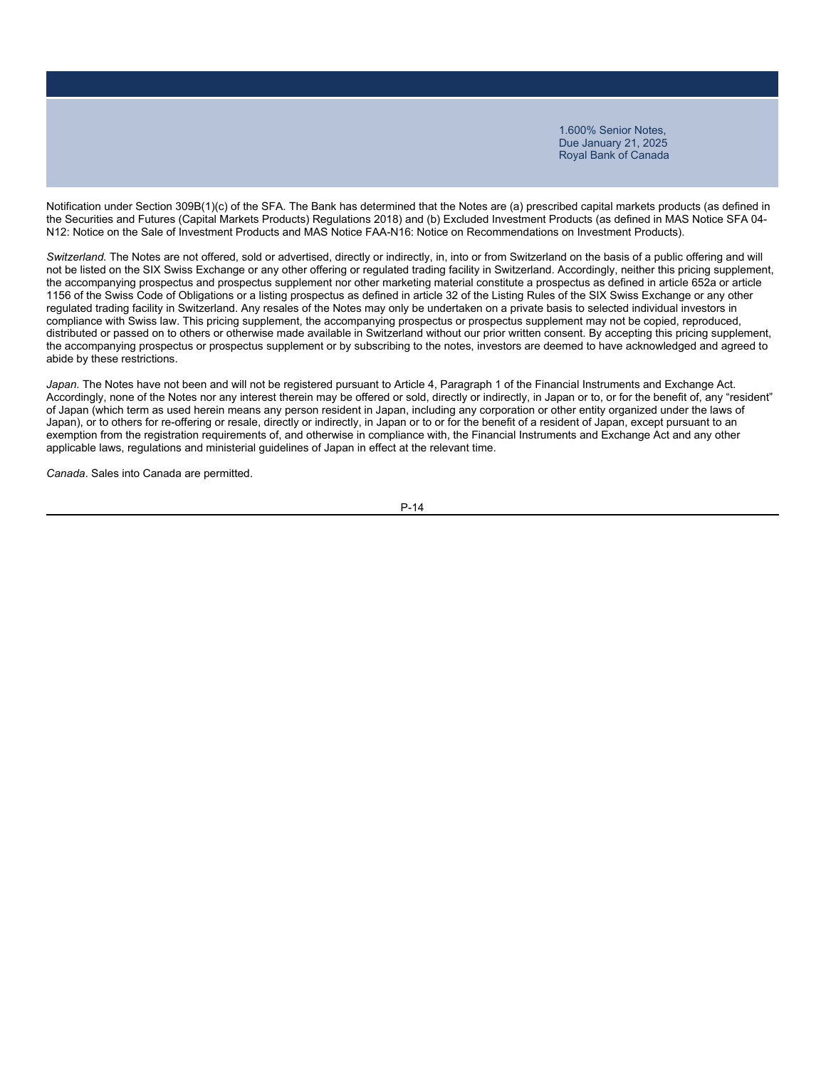Notification under Section 309B(1)(c) of the SFA. The Bank has determined that the Notes are (a) prescribed capital markets products (as defined in the Securities and Futures (Capital Markets Products) Regulations 2018) and (b) Excluded Investment Products (as defined in MAS Notice SFA 04- N12: Notice on the Sale of Investment Products and MAS Notice FAA-N16: Notice on Recommendations on Investment Products).

*Switzerland.* The Notes are not offered, sold or advertised, directly or indirectly, in, into or from Switzerland on the basis of a public offering and will not be listed on the SIX Swiss Exchange or any other offering or regulated trading facility in Switzerland. Accordingly, neither this pricing supplement, the accompanying prospectus and prospectus supplement nor other marketing material constitute a prospectus as defined in article 652a or article 1156 of the Swiss Code of Obligations or a listing prospectus as defined in article 32 of the Listing Rules of the SIX Swiss Exchange or any other regulated trading facility in Switzerland. Any resales of the Notes may only be undertaken on a private basis to selected individual investors in compliance with Swiss law. This pricing supplement, the accompanying prospectus or prospectus supplement may not be copied, reproduced, distributed or passed on to others or otherwise made available in Switzerland without our prior written consent. By accepting this pricing supplement, the accompanying prospectus or prospectus supplement or by subscribing to the notes, investors are deemed to have acknowledged and agreed to abide by these restrictions.

*Japan.* The Notes have not been and will not be registered pursuant to Article 4, Paragraph 1 of the Financial Instruments and Exchange Act. Accordingly, none of the Notes nor any interest therein may be offered or sold, directly or indirectly, in Japan or to, or for the benefit of, any "resident" of Japan (which term as used herein means any person resident in Japan, including any corporation or other entity organized under the laws of Japan), or to others for re-offering or resale, directly or indirectly, in Japan or to or for the benefit of a resident of Japan, except pursuant to an exemption from the registration requirements of, and otherwise in compliance with, the Financial Instruments and Exchange Act and any other applicable laws, regulations and ministerial guidelines of Japan in effect at the relevant time.

*Canada*. Sales into Canada are permitted.